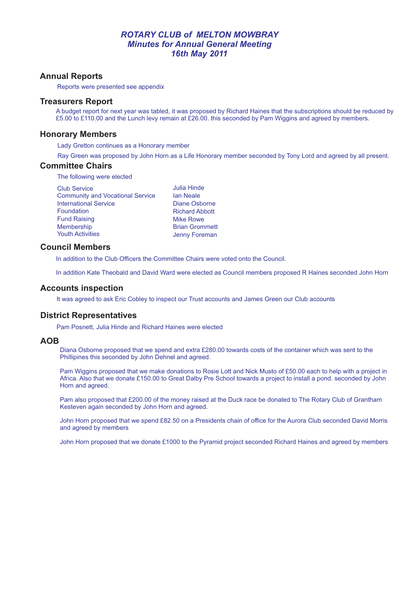## *ROTARY CLUB of MELTON MOWBRAY Minutes for Annual General Meeting 16th May 2011*

## **Annual Reports**

Reports were presented see appendix

## **Treasurers Report**

A budget report for next year was tabled, it was proposed by Richard Haines that the subscriptions should be reduced by £5.00 to £110.00 and the Lunch levy remain at £26.00. this seconded by Pam Wiggins and agreed by members.

## **Honorary Members**

Lady Gretton continues as a Honorary member

Ray Green was proposed by John Horn as a Life Honorary member seconded by Tony Lord and agreed by all present.

### **Committee Chairs**

The following were elected

| <b>Club Service</b>                     | <b>Julia Hinde</b>    |
|-----------------------------------------|-----------------------|
| <b>Community and Vocational Service</b> | <b>lan Neale</b>      |
| <b>International Service</b>            | Diane Osborne         |
| Foundation                              | <b>Richard Abbott</b> |
| <b>Fund Raising</b>                     | <b>Mike Rowe</b>      |
| <b>Membership</b>                       | <b>Brian Grommett</b> |
| <b>Youth Activities</b>                 | Jenny Foreman         |

### **Council Members**

In addition to the Club Officers the Committee Chairs were voted onto the Council.

In addition Kate Theobald and David Ward were elected as Council members proposed R Haines seconded John Horn

## **Accounts inspection**

It was agreed to ask Eric Cobley to inspect our Trust accounts and James Green our Club accounts

## **District Representatives**

Pam Posnett, Julia Hinde and Richard Haines were elected

## **AOB**

Diana Osborne proposed that we spend and extra £280.00 towards costs of the container which was sent to the Phillipines this seconded by John Dehnel and agreed.

Pam Wiggins proposed that we make donations to Rosie Lott and Nick Musto of £50.00 each to help with a project in Africa. Also that we donate £150.00 to Great Dalby Pre School towards a project to install a pond. seconded by John Horn and agreed.

Pam also proposed that £200.00 of the money raised at the Duck race be donated to The Rotary Club of Grantham Kesteven again seconded by John Horn and agreed.

John Horn proposed that we spend £82.50 on a Presidents chain of office for the Aurora Club seconded David Morris and agreed by members

John Horn proposed that we donate £1000 to the Pyramid project seconded Richard Haines and agreed by members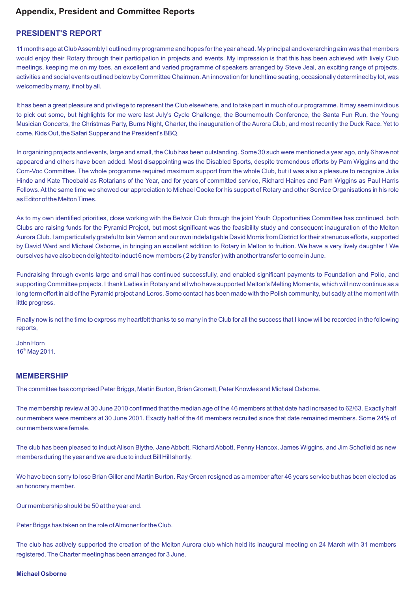# **Appendix, President and Committee Reports**

## **PRESIDENT'S REPORT**

11 months ago at Club Assembly I outlined my programme and hopes for the year ahead. My principal and overarching aim was that members would enjoy their Rotary through their participation in projects and events. My impression is that this has been achieved with lively Club meetings, keeping me on my toes, an excellent and varied programme of speakers arranged by Steve Jeal, an exciting range of projects, activities and social events outlined below by Committee Chairmen. An innovation for lunchtime seating, occasionally determined by lot, was welcomed by many, if not by all.

It has been a great pleasure and privilege to represent the Club elsewhere, and to take part in much of our programme. It may seem invidious to pick out some, but highlights for me were last July's Cycle Challenge, the Bournemouth Conference, the Santa Fun Run, the Young Musician Concerts, the Christmas Party, Burns Night, Charter, the inauguration of the Aurora Club, and most recently the Duck Race. Yet to come, Kids Out, the Safari Supper and the President's BBQ.

In organizing projects and events, large and small, the Club has been outstanding. Some 30 such were mentioned a year ago, only 6 have not appeared and others have been added. Most disappointing was the Disabled Sports, despite tremendous efforts by Pam Wiggins and the Com-Voc Committee. The whole programme required maximum support from the whole Club, but it was also a pleasure to recognize Julia Hinde and Kate Theobald as Rotarians of the Year, and for years of committed service, Richard Haines and Pam Wiggins as Paul Harris Fellows. At the same time we showed our appreciation to Michael Cooke for his support of Rotary and other Service Organisations in his role as Editor of the Melton Times.

As to my own identified priorities, close working with the Belvoir Club through the joint Youth Opportunities Committee has continued, both Clubs are raising funds for the Pyramid Project, but most significant was the feasibility study and consequent inauguration of the Melton Aurora Club. I am particularly grateful to Iain Vernon and our own indefatigable David Morris from District for their strenuous efforts, supported by David Ward and Michael Osborne, in bringing an excellent addition to Rotary in Melton to fruition. We have a very lively daughter ! We ourselves have also been delighted to induct 6 new members ( 2 by transfer ) with another transfer to come in June.

Fundraising through events large and small has continued successfully, and enabled significant payments to Foundation and Polio, and supporting Committee projects. I thank Ladies in Rotary and all who have supported Melton's Melting Moments, which will now continue as a long term effort in aid of the Pyramid project and Loros. Some contact has been made with the Polish community, but sadly at the moment with little progress.

Finally now is not the time to express my heartfelt thanks to so many in the Club for all the success that I know will be recorded in the following reports,

John Horn  $16<sup>th</sup>$  May 2011.

## **MEMBERSHIP**

The committee has comprised Peter Briggs, Martin Burton, Brian Gromett, Peter Knowles and Michael Osborne.

The membership review at 30 June 2010 confirmed that the median age of the 46 members at that date had increased to 62/63. Exactly half our members were members at 30 June 2001. Exactly half of the 46 members recruited since that date remained members. Some 24% of our members were female.

The club has been pleased to induct Alison Blythe, Jane Abbott, Richard Abbott, Penny Hancox, James Wiggins, and Jim Schofield as new members during the year and we are due to induct Bill Hill shortly.

We have been sorry to lose Brian Giller and Martin Burton. Ray Green resigned as a member after 46 years service but has been elected as an honorary member.

Our membership should be 50 at the year end.

Peter Briggs has taken on the role of Almoner for the Club.

The club has actively supported the creation of the Melton Aurora club which held its inaugural meeting on 24 March with 31 members registered. The Charter meeting has been arranged for 3 June.

### **Michael Osborne**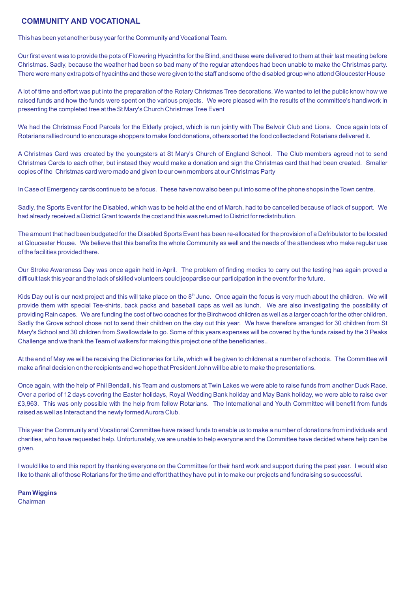## **COMMUNITY AND VOCATIONAL**

This has been yet another busy year for the Community and Vocational Team.

Our first event was to provide the pots of Flowering Hyacinths for the Blind, and these were delivered to them at their last meeting before Christmas. Sadly, because the weather had been so bad many of the regular attendees had been unable to make the Christmas party. There were many extra pots of hyacinths and these were given to the staff and some of the disabled group who attend Gloucester House

A lot of time and effort was put into the preparation of the Rotary Christmas Tree decorations. We wanted to let the public know how we raised funds and how the funds were spent on the various projects. We were pleased with the results of the committee's handiwork in presenting the completed tree at the St Mary's Church Christmas Tree Event

We had the Christmas Food Parcels for the Elderly project, which is run jointly with The Belvoir Club and Lions. Once again lots of Rotarians rallied round to encourage shoppers to make food donations, others sorted the food collected and Rotarians delivered it.

A Christmas Card was created by the youngsters at St Mary's Church of England School. The Club members agreed not to send Christmas Cards to each other, but instead they would make a donation and sign the Christmas card that had been created. Smaller copies of the Christmas card were made and given to our own members at our Christmas Party

In Case of Emergency cards continue to be a focus. These have now also been put into some of the phone shops in the Town centre.

Sadly, the Sports Event for the Disabled, which was to be held at the end of March, had to be cancelled because of lack of support. We had already received a District Grant towards the cost and this was returned to District for redistribution.

The amount that had been budgeted for the Disabled Sports Event has been re-allocated for the provision of a Defribulator to be located at Gloucester House. We believe that this benefits the whole Community as well and the needs of the attendees who make regular use of the facilities provided there.

Our Stroke Awareness Day was once again held in April. The problem of finding medics to carry out the testing has again proved a difficult task this year and the lack of skilled volunteers could jeopardise our participation in the event for the future.

Kids Day out is our next project and this will take place on the  $8<sup>th</sup>$  June. Once again the focus is very much about the children. We will provide them with special Tee-shirts, back packs and baseball caps as well as lunch. We are also investigating the possibility of providing Rain capes. We are funding the cost of two coaches for the Birchwood children as well as a larger coach for the other children. Sadly the Grove school chose not to send their children on the day out this year. We have therefore arranged for 30 children from St Mary's School and 30 children from Swallowdale to go. Some of this years expenses will be covered by the funds raised by the 3 Peaks Challenge and we thank the Team of walkers for making this project one of the beneficiaries..

At the end of May we will be receiving the Dictionaries for Life, which will be given to children at a number of schools. The Committee will make a final decision on the recipients and we hope that President John will be able to make the presentations.

Once again, with the help of Phil Bendall, his Team and customers at Twin Lakes we were able to raise funds from another Duck Race. Over a period of 12 days covering the Easter holidays, Royal Wedding Bank holiday and May Bank holiday, we were able to raise over £3,963. This was only possible with the help from fellow Rotarians. The International and Youth Committee will benefit from funds raised as well as Interact and the newly formed Aurora Club.

This year the Community and Vocational Committee have raised funds to enable us to make a number of donations from individuals and charities, who have requested help. Unfortunately, we are unable to help everyone and the Committee have decided where help can be given.

I would like to end this report by thanking everyone on the Committee for their hard work and support during the past year. I would also like to thank all of those Rotarians for the time and effort that they have put in to make our projects and fundraising so successful.

## **Pam Wiggins**

Chairman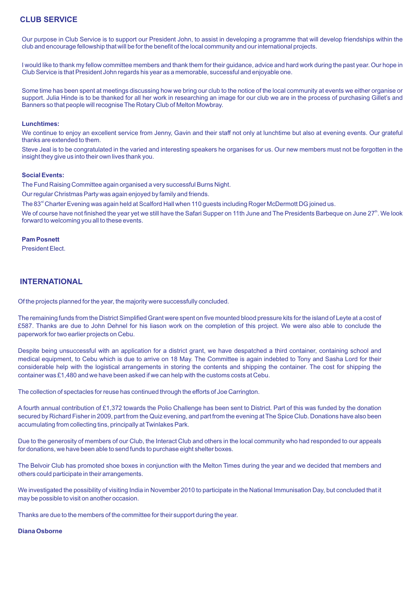## **CLUB SERVICE**

Our purpose in Club Service is to support our President John, to assist in developing a programme that will develop friendships within the club and encourage fellowship that will be for the benefit of the local community and our international projects.

I would like to thank my fellow committee members and thank them for their guidance, advice and hard work during the past year. Our hope in Club Service is that President John regards his year as a memorable, successful and enjoyable one.

Some time has been spent at meetings discussing how we bring our club to the notice of the local community at events we either organise or support. Julia Hinde is to be thanked for all her work in researching an image for our club we are in the process of purchasing Gillet's and Banners so that people will recognise The Rotary Club of Melton Mowbray.

### **Lunchtimes:**

We continue to enjoy an excellent service from Jenny, Gavin and their staff not only at lunchtime but also at evening events. Our grateful thanks are extended to them.

Steve Jeal is to be congratulated in the varied and interesting speakers he organises for us. Our new members must not be forgotten in the insight they give us into their own lives thank you.

### **Social Events:**

The Fund Raising Committee again organised a very successful Burns Night.

Our regular Christmas Party was again enjoyed by family and friends.

The 83<sup>rd</sup> Charter Evening was again held at Scalford Hall when 110 guests including Roger McDermott DG joined us.

We of course have not finished the year yet we still have the Safari Supper on 11th June and The Presidents Barbeque on June 27<sup>th</sup>. We look forward to welcoming you all to these events.

### **Pam Posnett**

President Elect.

## **INTERNATIONAL**

Of the projects planned for the year, the majority were successfully concluded.

The remaining funds from the District Simplified Grant were spent on five mounted blood pressure kits for the island of Leyte at a cost of £587. Thanks are due to John Dehnel for his liason work on the completion of this project. We were also able to conclude the paperwork for two earlier projects on Cebu.

Despite being unsuccessful with an application for a district grant, we have despatched a third container, containing school and medical equipment, to Cebu which is due to arrive on 18 May. The Committee is again indebted to Tony and Sasha Lord for their considerable help with the logistical arrangements in storing the contents and shipping the container. The cost for shipping the container was £1,480 and we have been asked if we can help with the customs costs at Cebu.

The collection of spectacles for reuse has continued through the efforts of Joe Carrington.

A fourth annual contribution of £1,372 towards the Polio Challenge has been sent to District. Part of this was funded by the donation secured by Richard Fisher in 2009, part from the Quiz evening, and part from the evening at The Spice Club. Donations have also been accumulating from collecting tins, principally at Twinlakes Park.

Due to the generosity of members of our Club, the Interact Club and others in the local community who had responded to our appeals for donations, we have been able to send funds to purchase eight shelter boxes.

The Belvoir Club has promoted shoe boxes in conjunction with the Melton Times during the year and we decided that members and others could participate in their arrangements.

We investigated the possibility of visiting India in November 2010 to participate in the National Immunisation Day, but concluded that it may be possible to visit on another occasion.

Thanks are due to the members of the committee for their support during the year.

#### **Diana Osborne**